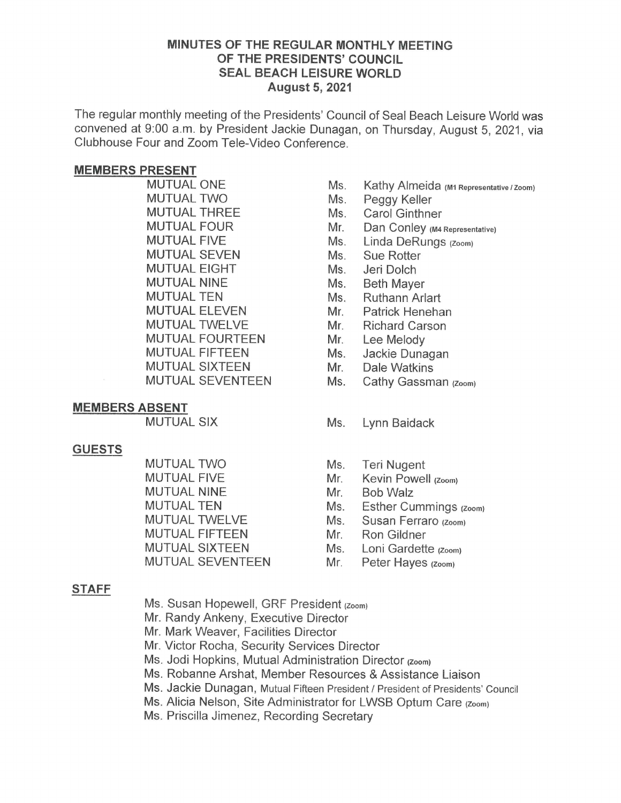### MINUTES OF THE REGULAR MONTHLY MEETING OF THE PRESIDENTS' COUNCIL SEAL BEACH LEISURE WORLD August 5,2021

The regular monthly meeting of the Presidents' Council of Seal Beach Leisure World was convened at 9:00 a.m. by President Jackie Dunagan, on Thursday, August 5, 2021, via Clubhouse Four and Zoom Tele-Video Conference.

### MEMBERS PRESENT

MUTUAL ONE MUTUAL TWO MUTUAL THREE MUTUAL FOUR MUTUAL FIVE MUTUAL SEVEN MUTUAL FIGHT MUTUAL NINE MUTUAL TEN MUTUAL ELEVEN MUTUAL TWFLVF MUTUAL FOURTEEN MUTUAL FIFTEEN MUTUAL SIXTEEN MUTUAL SEVENTEEN

### MEMBERS ABSENT

MUTUAL SIX

### **GUESTS**

MUTUAL TWO MUTUAL FIVE MUTUAL NINE MUTUAL TEN MUTUAL TWELVE MUTUAL FIFTEEN MUTUAL SIXTEEN MUTUAL SEVENTEEN

# STAFF

- Ms. Susan Hopewell, GRF President (Zoom)
- Mr. Randy Ankeny, Executive Director
- Mr. Mark Weaver, Facilities Director
- Mr. Victor Rocha, Security Services Director
- Ms. Jodi Hopkins, Mutual Administration Director (zoom)
- Ms. Robanne Arshat, Member Resources & Assistance Liaison
- Ms. Jackie Dunagan, Mutual Fifteen President / President of Presidents' Council
- Ms. Alicia Nelson, Site Administrator for LWSB Optum Care (Zoom)
- Ms. Priscilla Jimenez, Recording Secretary
- Ms. Kathy Almeida (M1 Representative / Zoom)
- Ms. Peggy Keller
- Ms. Carol Ginthner
- Mr. Dan Conley (M4 Representative)
- Ms. Linda DeRungs (Zoom)
- Ms. Sue Rotter
- Ms. Jeri Dolch
- Ms. Beth Mayer
- Ms. Ruthann Arlart
- Mr. Patrick Henehan
- Mr. Richard Carson
- Mr. Lee Melody
- Ms. Jackie Dunagan
- Mr. Dale Watkins
- Ms. Cathy Gassman (Zoom)

### Ms. Lynn Baidack

- Ms. Teri Nugent
- Mr. Kevin Powell (Zoom)
- Mr. Bob Walz
- Ms. Esther Cummings (Zoom)
- Ms. Susan Ferraro (Zoom)
- Mr. Ron Gildner
- Ms. Loni Gardette (Zoom)
- Mr. Peter Hayes (Zoom)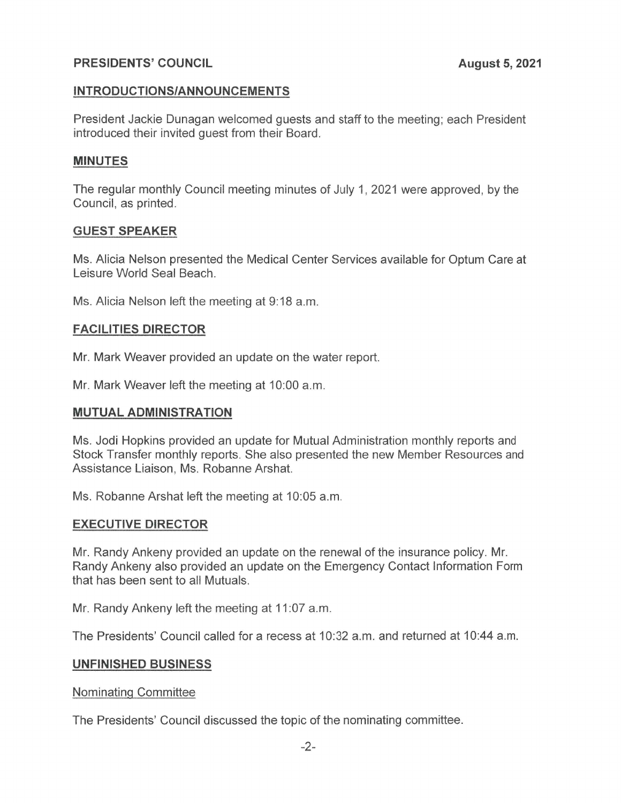# PRESIDENTS' COUNCIL

### INTRODUCTIONS/ANNOUNCEMENTS

President Jackie Dunagan welcomed guests and staff to the meeting; each President introduced their invited guest from their Board.

# MINUTES

The regular monthly Council meeting minutes of July 1, 2021 were approved, by the Council, as printed.

### GUEST SPEAKER

Ms. Alicia Nelson presented the Medical Center Services available for Optum Care at Leisure World Seal Beach.

Ms. Alicia Nelson left the meeting at 9:18 a.m.

# FACILITIES DIRECTOR

Mr. Mark Weaver provided an update on the water report.

Mr. Mark Weaver left the meeting at 10:00 a.m.

### MUTUAL ADMINISTRATION

Ms. Jodi Hopkins provided an update for Mutual Administration monthly reports and Stock Transfer monthly reports. She also presented the new Member Resources and Assistance Liaison, Ms. Robanne Arshat.

Ms. Robanne Arshat left the meeting at 10:05 a.m.

### EXECUTIVE DIRECTOR

Mr. Randy Ankeny provided an update on the renewal of the insurance policy. Mr. Randy Ankeny also provided an update on the Emergency Contact Information Form that has been sent to all Mutuals.

Mr. Randy Ankeny left the meeting at 11:07 a.m.

The Presidents' Council called for a recess at 10:32 a.m. and returned at 10:44 a.m.

### UNFINISHED BUSINESS

Nominatinq Committee

The Presidents' Council discussed the topic of the nominating committee.